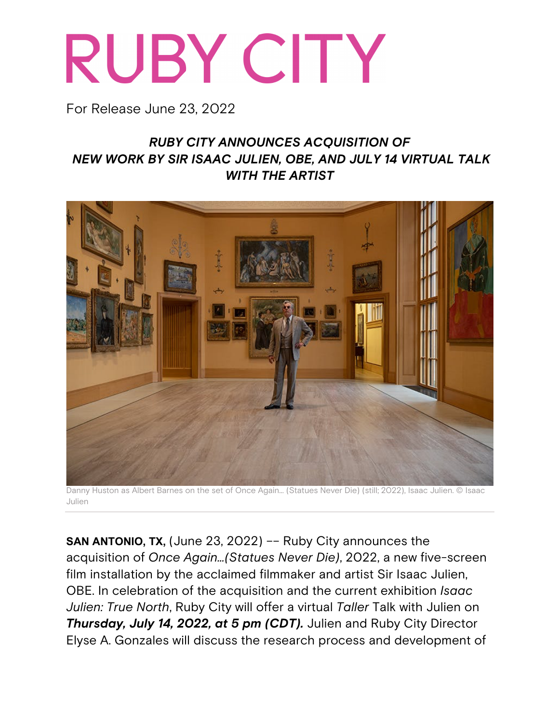# RUBY CITY

For Release June 23, 2022

# *RUBY CITY ANNOUNCES ACQUISITION OF NEW WORK BY SIR ISAAC JULIEN, OBE, AND JULY 14 VIRTUAL TALK WITH THE ARTIST*



Danny Huston as Albert Barnes on the set of Once Again... (Statues Never Die) (still; 2022), Isaac Julien. © Isaac Julien

**SAN ANTONIO, TX,** (June 23, 2022) –– Ruby City announces the acquisition of *Once Again…(Statues Never Die)*, 2022, a new five-screen film installation by the acclaimed filmmaker and artist Sir Isaac Julien, OBE. In celebration of the acquisition and the current exhibition *Isaac Julien: True North*, Ruby City will offer a virtual *Taller* Talk with Julien on *Thursday, July 14, 2022, at 5 pm (CDT).* Julien and Ruby City Director Elyse A. Gonzales will discuss the research process and development of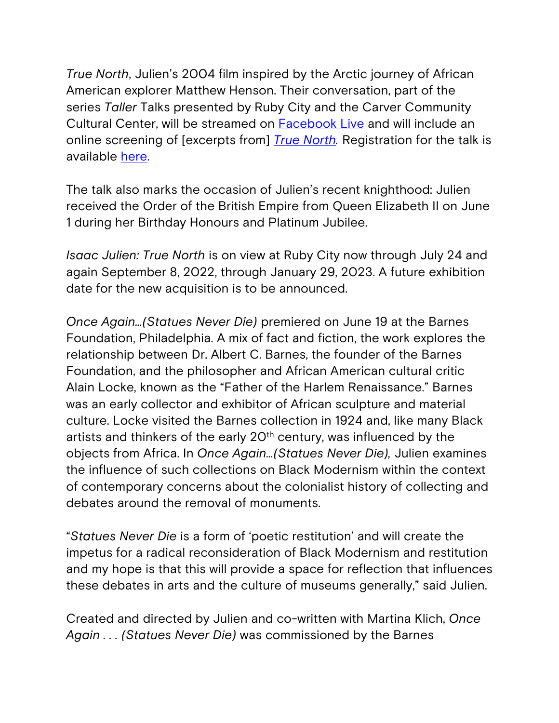*True North*, Julien's 2004 film inspired by the Arctic journey of African American explorer Matthew Henson. Their conversation, part of the series *Taller* Talks presented by Ruby City and the Carver Community Cultural Center, will be streamed on **Facebook Live and will include an** online screening of [excerpts from] *True North.* Registration for the talk is available here.

The talk also marks the occasion of Julien's recent knighthood: Julien received the Order of the British Empire from Queen Elizabeth II on June 1 during her Birthday Honours and Platinum Jubilee.

*Isaac Julien: True North* is on view at Ruby City now through July 24 and again September 8, 2022, through January 29, 2023. A future exhibition date for the new acquisition is to be announced.

*Once Again…(Statues Never Die)* premiered on June 19 at the Barnes Foundation, Philadelphia. A mix of fact and fiction, the work explores the relationship between Dr. Albert C. Barnes, the founder of the Barnes Foundation, and the philosopher and African American cultural critic Alain Locke, known as the "Father of the Harlem Renaissance." Barnes was an early collector and exhibitor of African sculpture and material culture. Locke visited the Barnes collection in 1924 and, like many Black artists and thinkers of the early  $20<sup>th</sup>$  century, was influenced by the objects from Africa. In *Once Again…(Statues Never Die),* Julien examines the influence of such collections on Black Modernism within the context of contemporary concerns about the colonialist history of collecting and debates around the removal of monuments.

"*Statues Never Die* is a form of 'poetic restitution' and will create the impetus for a radical reconsideration of Black Modernism and restitution and my hope is that this will provide a space for reflection that influences these debates in arts and the culture of museums generally," said Julien.

Created and directed by Julien and co-written with Martina Klich, *Once Again . . . (Statues Never Die)* was commissioned by the Barnes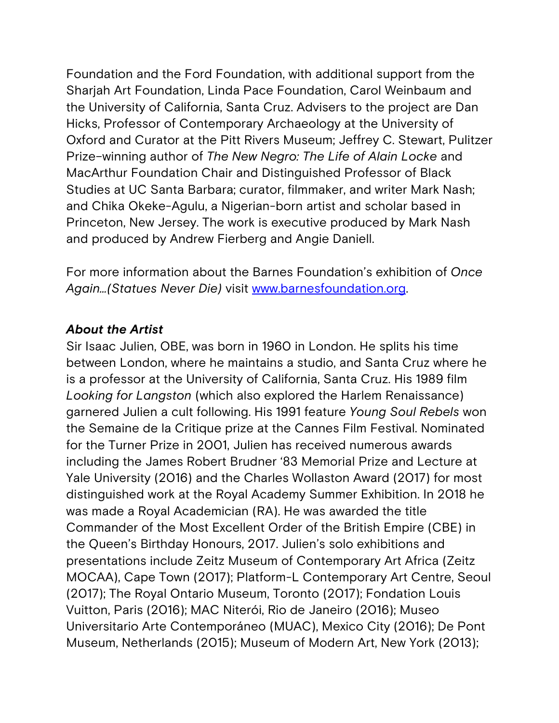Foundation and the Ford Foundation, with additional support from the Sharjah Art Foundation, Linda Pace Foundation, Carol Weinbaum and the University of California, Santa Cruz. Advisers to the project are Dan Hicks, Professor of Contemporary Archaeology at the University of Oxford and Curator at the Pitt Rivers Museum; Jeffrey C. Stewart, Pulitzer Prize–winning author of *The New Negro: The Life of Alain Locke* and MacArthur Foundation Chair and Distinguished Professor of Black Studies at UC Santa Barbara; curator, filmmaker, and writer Mark Nash; and Chika Okeke-Agulu, a Nigerian-born artist and scholar based in Princeton, New Jersey. The work is executive produced by Mark Nash and produced by Andrew Fierberg and Angie Daniell.

For more information about the Barnes Foundation's exhibition of *Once Again…(Statues Never Die)* visit www.barnesfoundation.org.

### *About the Artist*

Sir Isaac Julien, OBE, was born in 1960 in London. He splits his time between London, where he maintains a studio, and Santa Cruz where he is a professor at the University of California, Santa Cruz. His 1989 film *Looking for Langston* (which also explored the Harlem Renaissance) garnered Julien a cult following. His 1991 feature *Young Soul Rebels* won the Semaine de la Critique prize at the Cannes Film Festival. Nominated for the Turner Prize in 2001, Julien has received numerous awards including the James Robert Brudner '83 Memorial Prize and Lecture at Yale University (2016) and the Charles Wollaston Award (2017) for most distinguished work at the Royal Academy Summer Exhibition. In 2018 he was made a Royal Academician (RA). He was awarded the title Commander of the Most Excellent Order of the British Empire (CBE) in the Queen's Birthday Honours, 2017. Julien's solo exhibitions and presentations include Zeitz Museum of Contemporary Art Africa (Zeitz MOCAA), Cape Town (2017); Platform-L Contemporary Art Centre, Seoul (2017); The Royal Ontario Museum, Toronto (2017); Fondation Louis Vuitton, Paris (2016); MAC Niterói, Rio de Janeiro (2016); Museo Universitario Arte Contemporáneo (MUAC), Mexico City (2016); De Pont Museum, Netherlands (2015); Museum of Modern Art, New York (2013);